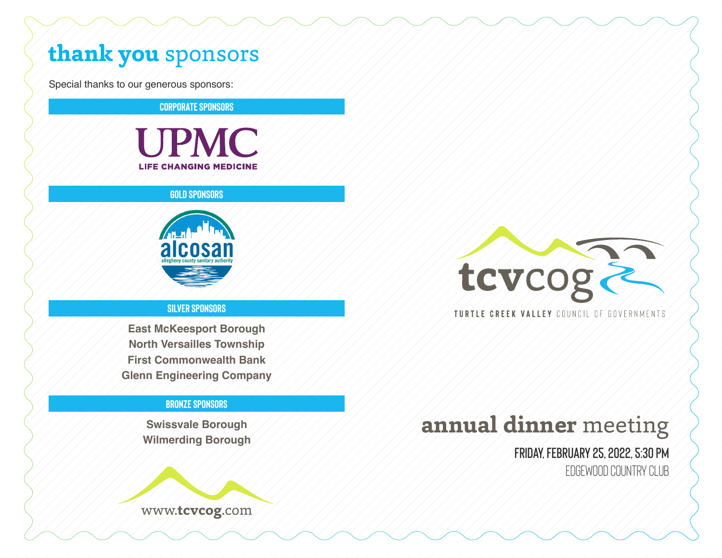# **thank you** sponsors

Special thanks to our generous sponsors:

**CORPORATE SPONSORS**



### **GOLD SPONSORS**



## **SILVER SPONSORS**

**East McKeesport Borough North Versailles Township First Commonwealth Bank Glenn Engineering Company**

### **BRONZE SPONSORS**

**Swissvale Borough Wilmerding Borough**





### TURTLE CREEK VALLEY COUNCIL OF GOVERNMENTS

# **annual dinner** meeting

**Friday, February 25, 2022, 5:30 pm** Edgewood Country Club